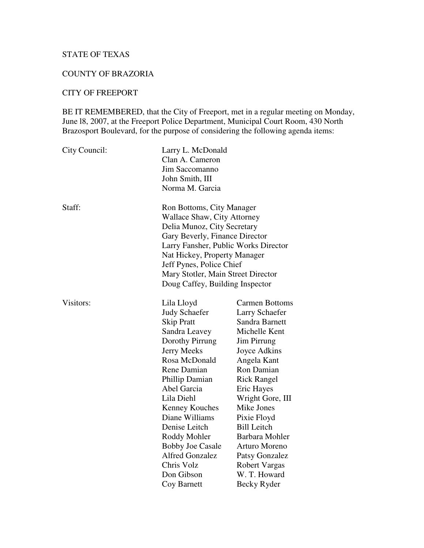## STATE OF TEXAS

#### COUNTY OF BRAZORIA

#### CITY OF FREEPORT

BE IT REMEMBERED, that the City of Freeport, met in a regular meeting on Monday, June 18, 2007, at the Freeport Police Department, Municipal Court Room, 430 North Brazosport Boulevard, for the purpose of considering the following agenda items:

| Larry L. McDonald<br>Clan A. Cameron<br>Jim Saccomanno<br>John Smith, III<br>Norma M. Garcia                                                                                                                                                                                                                                                           |                                                                                                                                                                                                                                                                                                                                                                      |
|--------------------------------------------------------------------------------------------------------------------------------------------------------------------------------------------------------------------------------------------------------------------------------------------------------------------------------------------------------|----------------------------------------------------------------------------------------------------------------------------------------------------------------------------------------------------------------------------------------------------------------------------------------------------------------------------------------------------------------------|
| Ron Bottoms, City Manager<br><b>Wallace Shaw, City Attorney</b><br>Delia Munoz, City Secretary<br>Gary Beverly, Finance Director<br>Larry Fansher, Public Works Director<br>Nat Hickey, Property Manager<br>Jeff Pynes, Police Chief<br>Mary Stotler, Main Street Director<br>Doug Caffey, Building Inspector                                          |                                                                                                                                                                                                                                                                                                                                                                      |
| Lila Lloyd<br><b>Judy Schaefer</b><br><b>Skip Pratt</b><br>Sandra Leavey<br>Dorothy Pirrung<br><b>Jerry Meeks</b><br>Rosa McDonald<br>Rene Damian<br>Phillip Damian<br>Abel Garcia<br>Lila Diehl<br>Kenney Kouches<br>Diane Williams<br>Denise Leitch<br>Roddy Mohler<br><b>Bobby Joe Casale</b><br><b>Alfred Gonzalez</b><br>Chris Volz<br>Don Gibson | <b>Carmen Bottoms</b><br><b>Larry Schaefer</b><br>Sandra Barnett<br>Michelle Kent<br>Jim Pirrung<br>Joyce Adkins<br>Angela Kant<br>Ron Damian<br><b>Rick Rangel</b><br>Eric Hayes<br>Wright Gore, III<br>Mike Jones<br>Pixie Floyd<br><b>Bill Leitch</b><br>Barbara Mohler<br>Arturo Moreno<br>Patsy Gonzalez<br><b>Robert Vargas</b><br>W. T. Howard<br>Becky Ryder |
|                                                                                                                                                                                                                                                                                                                                                        | Coy Barnett                                                                                                                                                                                                                                                                                                                                                          |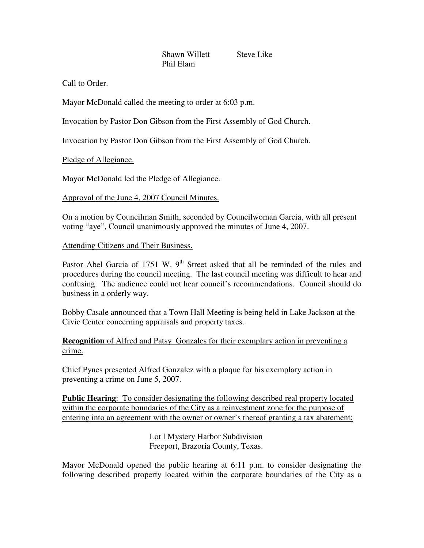Shawn Willett Steve Like Phil Elam

#### Call to Order.

Mayor McDonald called the meeting to order at 6:03 p.m.

Invocation by Pastor Don Gibson from the First Assembly of God Church.

Invocation by Pastor Don Gibson from the First Assembly of God Church.

Pledge of Allegiance.

Mayor McDonald led the Pledge of Allegiance.

# Approval of the June 4, 2007 Council Minutes.

On a motion by Councilman Smith, seconded by Councilwoman Garcia, with all present voting "aye", Council unanimously approved the minutes of June 4, 2007.

# Attending Citizens and Their Business.

Pastor Abel Garcia of 1751 W. 9<sup>th</sup> Street asked that all be reminded of the rules and procedures during the council meeting. The last council meeting was difficult to hear and confusing. The audience could not hear council's recommendations. Council should do business in a orderly way.

Bobby Casale announced that a Town Hall Meeting is being held in Lake Jackson at the Civic Center concerning appraisals and property taxes.

# **Recognition** of Alfred and Patsy Gonzales for their exemplary action in preventing a crime.

Chief Pynes presented Alfred Gonzalez with a plaque for his exemplary action in preventing a crime on June 5, 2007.

**Public Hearing**: To consider designating the following described real property located within the corporate boundaries of the City as a reinvestment zone for the purpose of entering into an agreement with the owner or owner's thereof granting a tax abatement:

> Lot l Mystery Harbor Subdivision Freeport, Brazoria County, Texas.

Mayor McDonald opened the public hearing at 6:11 p.m. to consider designating the following described property located within the corporate boundaries of the City as a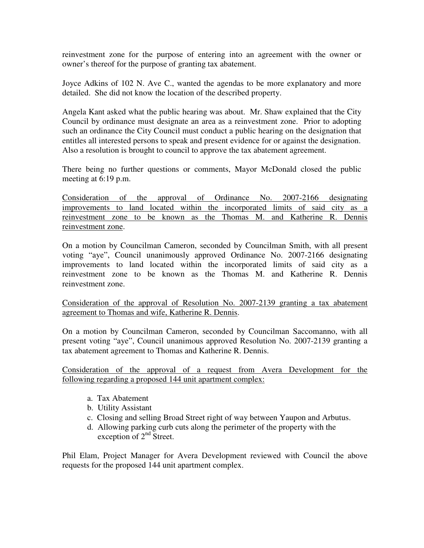reinvestment zone for the purpose of entering into an agreement with the owner or owner's thereof for the purpose of granting tax abatement.

Joyce Adkins of 102 N. Ave C., wanted the agendas to be more explanatory and more detailed. She did not know the location of the described property.

Angela Kant asked what the public hearing was about. Mr. Shaw explained that the City Council by ordinance must designate an area as a reinvestment zone. Prior to adopting such an ordinance the City Council must conduct a public hearing on the designation that entitles all interested persons to speak and present evidence for or against the designation. Also a resolution is brought to council to approve the tax abatement agreement.

There being no further questions or comments, Mayor McDonald closed the public meeting at 6:19 p.m.

Consideration of the approval of Ordinance No. 2007-2166 designating improvements to land located within the incorporated limits of said city as a reinvestment zone to be known as the Thomas M. and Katherine R. Dennis reinvestment zone.

On a motion by Councilman Cameron, seconded by Councilman Smith, with all present voting "aye", Council unanimously approved Ordinance No. 2007-2166 designating improvements to land located within the incorporated limits of said city as a reinvestment zone to be known as the Thomas M. and Katherine R. Dennis reinvestment zone.

Consideration of the approval of Resolution No. 2007-2139 granting a tax abatement agreement to Thomas and wife, Katherine R. Dennis.

On a motion by Councilman Cameron, seconded by Councilman Saccomanno, with all present voting "aye", Council unanimous approved Resolution No. 2007-2139 granting a tax abatement agreement to Thomas and Katherine R. Dennis.

Consideration of the approval of a request from Avera Development for the following regarding a proposed 144 unit apartment complex:

- a. Tax Abatement
- b. Utility Assistant
- c. Closing and selling Broad Street right of way between Yaupon and Arbutus.
- d. Allowing parking curb cuts along the perimeter of the property with the exception of  $2<sup>nd</sup>$  Street.

Phil Elam, Project Manager for Avera Development reviewed with Council the above requests for the proposed 144 unit apartment complex.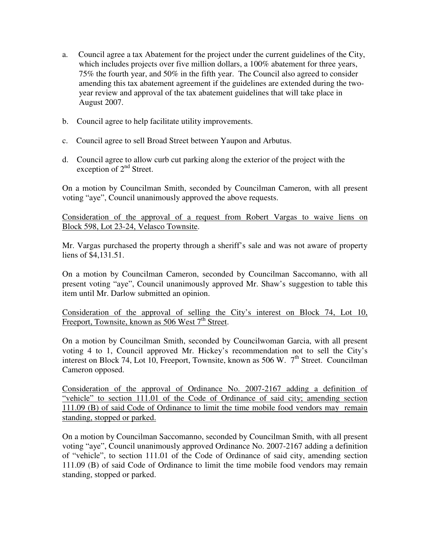- a. Council agree a tax Abatement for the project under the current guidelines of the City, which includes projects over five million dollars, a 100% abatement for three years, 75% the fourth year, and 50% in the fifth year. The Council also agreed to consider amending this tax abatement agreement if the guidelines are extended during the twoyear review and approval of the tax abatement guidelines that will take place in August 2007.
- b. Council agree to help facilitate utility improvements.
- c. Council agree to sell Broad Street between Yaupon and Arbutus.
- d. Council agree to allow curb cut parking along the exterior of the project with the exception of 2<sup>nd</sup> Street.

On a motion by Councilman Smith, seconded by Councilman Cameron, with all present voting "aye", Council unanimously approved the above requests.

Consideration of the approval of a request from Robert Vargas to waive liens on Block 598, Lot 23-24, Velasco Townsite.

Mr. Vargas purchased the property through a sheriff's sale and was not aware of property liens of \$4,131.51.

On a motion by Councilman Cameron, seconded by Councilman Saccomanno, with all present voting "aye", Council unanimously approved Mr. Shaw's suggestion to table this item until Mr. Darlow submitted an opinion.

Consideration of the approval of selling the City's interest on Block 74, Lot 10, Freeport, Townsite, known as 506 West 7<sup>th</sup> Street.

On a motion by Councilman Smith, seconded by Councilwoman Garcia, with all present voting 4 to 1, Council approved Mr. Hickey's recommendation not to sell the City's interest on Block 74, Lot 10, Freeport, Townsite, known as 506 W. 7<sup>th</sup> Street. Councilman Cameron opposed.

Consideration of the approval of Ordinance No. 2007-2167 adding a definition of "vehicle" to section 111.01 of the Code of Ordinance of said city; amending section 111.09 (B) of said Code of Ordinance to limit the time mobile food vendors may remain standing, stopped or parked.

On a motion by Councilman Saccomanno, seconded by Councilman Smith, with all present voting "aye", Council unanimously approved Ordinance No. 2007-2167 adding a definition of "vehicle", to section 111.01 of the Code of Ordinance of said city, amending section 111.09 (B) of said Code of Ordinance to limit the time mobile food vendors may remain standing, stopped or parked.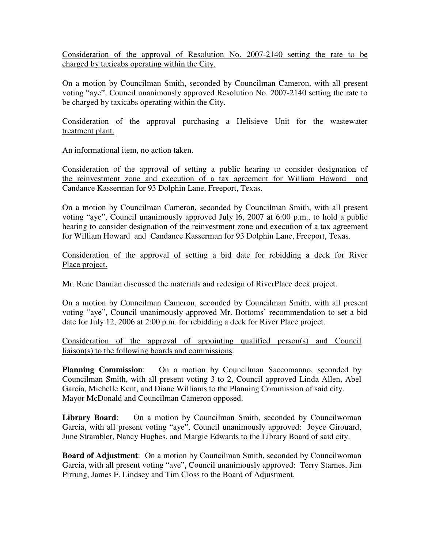Consideration of the approval of Resolution No. 2007-2140 setting the rate to be charged by taxicabs operating within the City.

On a motion by Councilman Smith, seconded by Councilman Cameron, with all present voting "aye", Council unanimously approved Resolution No. 2007-2140 setting the rate to be charged by taxicabs operating within the City.

Consideration of the approval purchasing a Helisieve Unit for the wastewater treatment plant.

An informational item, no action taken.

Consideration of the approval of setting a public hearing to consider designation of the reinvestment zone and execution of a tax agreement for William Howard and Candance Kasserman for 93 Dolphin Lane, Freeport, Texas.

On a motion by Councilman Cameron, seconded by Councilman Smith, with all present voting "aye", Council unanimously approved July l6, 2007 at 6:00 p.m., to hold a public hearing to consider designation of the reinvestment zone and execution of a tax agreement for William Howard and Candance Kasserman for 93 Dolphin Lane, Freeport, Texas.

Consideration of the approval of setting a bid date for rebidding a deck for River Place project.

Mr. Rene Damian discussed the materials and redesign of RiverPlace deck project.

On a motion by Councilman Cameron, seconded by Councilman Smith, with all present voting "aye", Council unanimously approved Mr. Bottoms' recommendation to set a bid date for July 12, 2006 at 2:00 p.m. for rebidding a deck for River Place project.

Consideration of the approval of appointing qualified person(s) and Council liaison(s) to the following boards and commissions.

**Planning Commission**: On a motion by Councilman Saccomanno, seconded by Councilman Smith, with all present voting 3 to 2, Council approved Linda Allen, Abel Garcia, Michelle Kent, and Diane Williams to the Planning Commission of said city. Mayor McDonald and Councilman Cameron opposed.

**Library Board**: On a motion by Councilman Smith, seconded by Councilwoman Garcia, with all present voting "aye", Council unanimously approved: Joyce Girouard, June Strambler, Nancy Hughes, and Margie Edwards to the Library Board of said city.

**Board of Adjustment**: On a motion by Councilman Smith, seconded by Councilwoman Garcia, with all present voting "aye", Council unanimously approved: Terry Starnes, Jim Pirrung, James F. Lindsey and Tim Closs to the Board of Adjustment.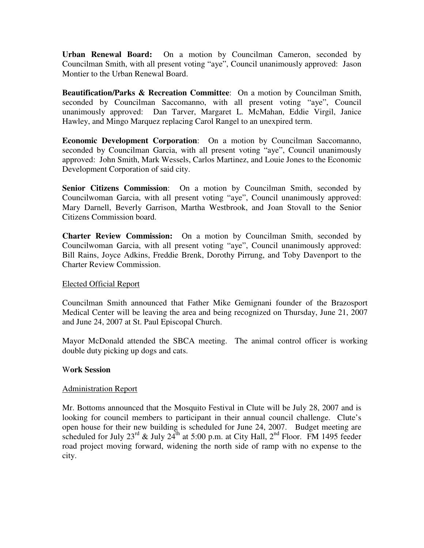**Urban Renewal Board:** On a motion by Councilman Cameron, seconded by Councilman Smith, with all present voting "aye", Council unanimously approved: Jason Montier to the Urban Renewal Board.

**Beautification/Parks & Recreation Committee**: On a motion by Councilman Smith, seconded by Councilman Saccomanno, with all present voting "aye", Council unanimously approved: Dan Tarver, Margaret L. McMahan, Eddie Virgil, Janice Hawley, and Mingo Marquez replacing Carol Rangel to an unexpired term.

**Economic Development Corporation**: On a motion by Councilman Saccomanno, seconded by Councilman Garcia, with all present voting "aye", Council unanimously approved: John Smith, Mark Wessels, Carlos Martinez, and Louie Jones to the Economic Development Corporation of said city.

**Senior Citizens Commission**: On a motion by Councilman Smith, seconded by Councilwoman Garcia, with all present voting "aye", Council unanimously approved: Mary Darnell, Beverly Garrison, Martha Westbrook, and Joan Stovall to the Senior Citizens Commission board.

**Charter Review Commission:** On a motion by Councilman Smith, seconded by Councilwoman Garcia, with all present voting "aye", Council unanimously approved: Bill Rains, Joyce Adkins, Freddie Brenk, Dorothy Pirrung, and Toby Davenport to the Charter Review Commission.

## Elected Official Report

Councilman Smith announced that Father Mike Gemignani founder of the Brazosport Medical Center will be leaving the area and being recognized on Thursday, June 21, 2007 and June 24, 2007 at St. Paul Episcopal Church.

Mayor McDonald attended the SBCA meeting. The animal control officer is working double duty picking up dogs and cats.

#### W**ork Session**

#### Administration Report

Mr. Bottoms announced that the Mosquito Festival in Clute will be July 28, 2007 and is looking for council members to participant in their annual council challenge. Clute's open house for their new building is scheduled for June 24, 2007. Budget meeting are scheduled for July  $23^{\text{rd}}$  & July  $24^{\text{th}}$  at 5:00 p.m. at City Hall,  $2^{\text{nd}}$  Floor. FM 1495 feeder road project moving forward, widening the north side of ramp with no expense to the city.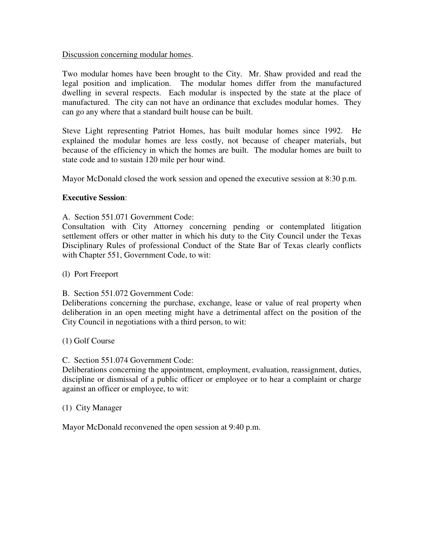#### Discussion concerning modular homes.

Two modular homes have been brought to the City. Mr. Shaw provided and read the legal position and implication. The modular homes differ from the manufactured dwelling in several respects. Each modular is inspected by the state at the place of manufactured. The city can not have an ordinance that excludes modular homes. They can go any where that a standard built house can be built.

Steve Light representing Patriot Homes, has built modular homes since 1992. He explained the modular homes are less costly, not because of cheaper materials, but because of the efficiency in which the homes are built. The modular homes are built to state code and to sustain 120 mile per hour wind.

Mayor McDonald closed the work session and opened the executive session at 8:30 p.m.

#### **Executive Session**:

A. Section 551.071 Government Code:

Consultation with City Attorney concerning pending or contemplated litigation settlement offers or other matter in which his duty to the City Council under the Texas Disciplinary Rules of professional Conduct of the State Bar of Texas clearly conflicts with Chapter 551, Government Code, to wit:

- (l) Port Freeport
- B. Section 551.072 Government Code:

Deliberations concerning the purchase, exchange, lease or value of real property when deliberation in an open meeting might have a detrimental affect on the position of the City Council in negotiations with a third person, to wit:

(1) Golf Course

C. Section 551.074 Government Code:

Deliberations concerning the appointment, employment, evaluation, reassignment, duties, discipline or dismissal of a public officer or employee or to hear a complaint or charge against an officer or employee, to wit:

#### (1) City Manager

Mayor McDonald reconvened the open session at 9:40 p.m.